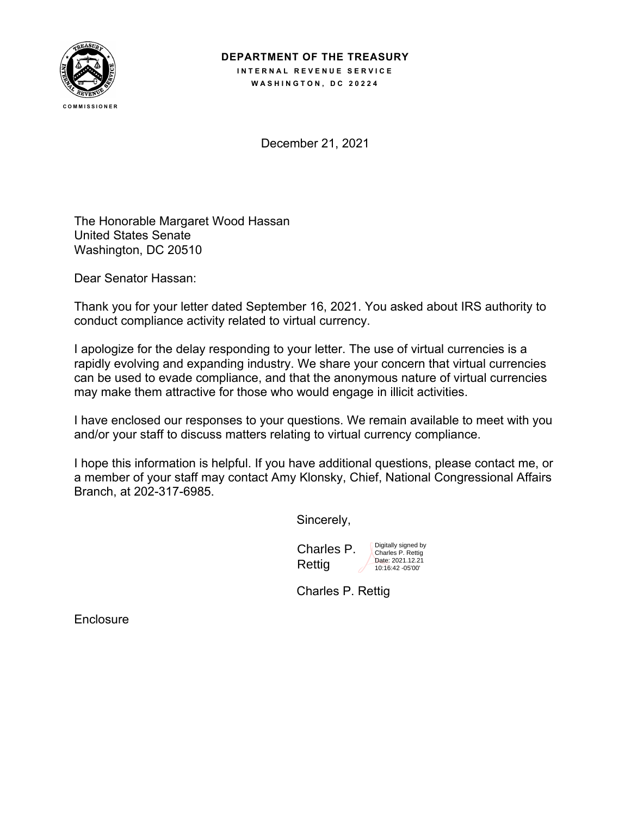

## **DEPARTMENT OF THE TREASURY INTERNAL REVENUE SERVICE**

**WASHINGTON, DC 20224**

December 21, 2021

The Honorable Margaret Wood Hassan United States Senate Washington, DC 20510

Dear Senator Hassan:

Thank you for your letter dated September 16, 2021. You asked about IRS authority to conduct compliance activity related to virtual currency.

I apologize for the delay responding to your letter. The use of virtual currencies is a rapidly evolving and expanding industry. We share your concern that virtual currencies can be used to evade compliance, and that the anonymous nature of virtual currencies may make them attractive for those who would engage in illicit activities.

I have enclosed our responses to your questions. We remain available to meet with you and/or your staff to discuss matters relating to virtual currency compliance.

I hope this information is helpful. If you have additional questions, please contact me, or a member of your staff may contact Amy Klonsky, Chief, National Congressional Affairs Branch, at 202-317-6985.

Sincerely,

Charles P. Rettig Digitally signed by Charles P. Rettig Date: 2021.12.21

10:16:42 -05'00'

Charles P. Rettig

**Enclosure**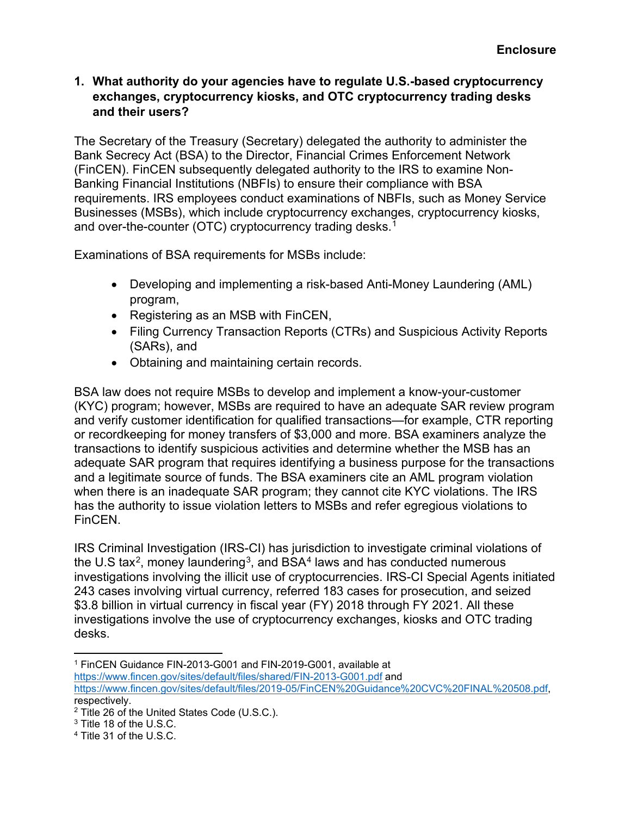## **1. What authority do your agencies have to regulate U.S.-based cryptocurrency exchanges, cryptocurrency kiosks, and OTC cryptocurrency trading desks and their users?**

The Secretary of the Treasury (Secretary) delegated the authority to administer the Bank Secrecy Act (BSA) to the Director, Financial Crimes Enforcement Network (FinCEN). FinCEN subsequently delegated authority to the IRS to examine Non-Banking Financial Institutions (NBFIs) to ensure their compliance with BSA requirements. IRS employees conduct examinations of NBFIs, such as Money Service Businesses (MSBs), which include cryptocurrency exchanges, cryptocurrency kiosks, and over-the-counter (OTC) cryptocurrency trading desks.<sup>[1](#page-1-0)</sup>

Examinations of BSA requirements for MSBs include:

- Developing and implementing a risk-based Anti-Money Laundering (AML) program,
- Registering as an MSB with FinCEN,
- Filing Currency Transaction Reports (CTRs) and Suspicious Activity Reports (SARs), and
- Obtaining and maintaining certain records.

BSA law does not require MSBs to develop and implement a know-your-customer (KYC) program; however, MSBs are required to have an adequate SAR review program and verify customer identification for qualified transactions—for example, CTR reporting or recordkeeping for money transfers of \$3,000 and more. BSA examiners analyze the transactions to identify suspicious activities and determine whether the MSB has an adequate SAR program that requires identifying a business purpose for the transactions and a legitimate source of funds. The BSA examiners cite an AML program violation when there is an inadequate SAR program; they cannot cite KYC violations. The IRS has the authority to issue violation letters to MSBs and refer egregious violations to FinCEN.

IRS Criminal Investigation (IRS-CI) has jurisdiction to investigate criminal violations of the U.S tax<sup>[2](#page-1-1)</sup>, money laundering<sup>[3](#page-1-2)</sup>, and BSA<sup>[4](#page-1-3)</sup> laws and has conducted numerous investigations involving the illicit use of cryptocurrencies. IRS-CI Special Agents initiated 243 cases involving virtual currency, referred 183 cases for prosecution, and seized \$3.8 billion in virtual currency in fiscal year (FY) 2018 through FY 2021. All these investigations involve the use of cryptocurrency exchanges, kiosks and OTC trading desks.

<span id="page-1-0"></span><sup>1</sup> FinCEN Guidance FIN-2013-G001 and FIN-2019-G001, available at

<https://www.fincen.gov/sites/default/files/shared/FIN-2013-G001.pdf> and

[https://www.fincen.gov/sites/default/files/2019-05/FinCEN%20Guidance%20CVC%20FINAL%20508.pdf,](https://www.fincen.gov/sites/default/files/2019-05/FinCEN%20Guidance%20CVC%20FINAL%20508.pdf) respectively.

<span id="page-1-1"></span><sup>2</sup> Title 26 of the United States Code (U.S.C.).

<span id="page-1-2"></span> $3$  Title 18 of the U.S.C.

<span id="page-1-3"></span><sup>4</sup> Title 31 of the U.S.C.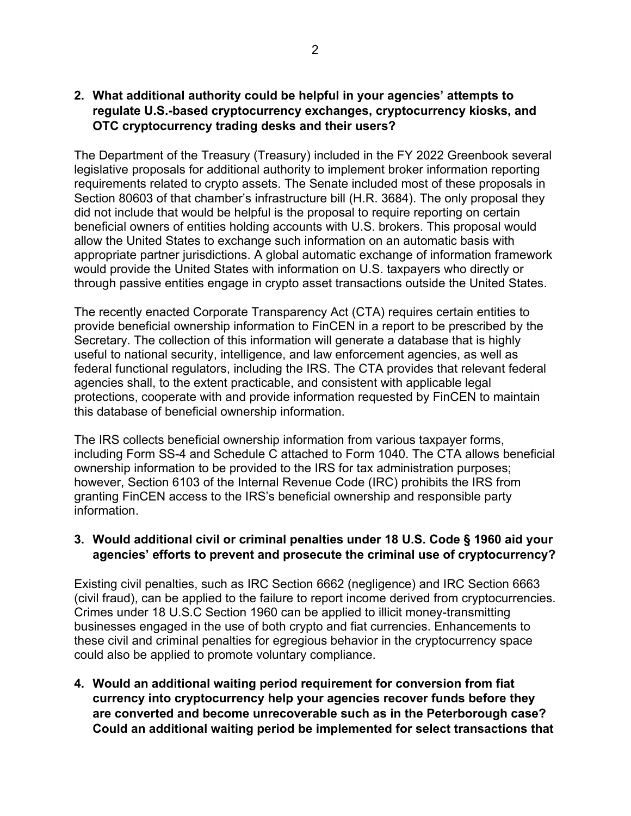## **2. What additional authority could be helpful in your agencies' attempts to regulate U.S.-based cryptocurrency exchanges, cryptocurrency kiosks, and OTC cryptocurrency trading desks and their users?**

The Department of the Treasury (Treasury) included in the FY 2022 Greenbook several legislative proposals for additional authority to implement broker information reporting requirements related to crypto assets. The Senate included most of these proposals in Section 80603 of that chamber's infrastructure bill (H.R. 3684). The only proposal they did not include that would be helpful is the proposal to require reporting on certain beneficial owners of entities holding accounts with U.S. brokers. This proposal would allow the United States to exchange such information on an automatic basis with appropriate partner jurisdictions. A global automatic exchange of information framework would provide the United States with information on U.S. taxpayers who directly or through passive entities engage in crypto asset transactions outside the United States.

The recently enacted Corporate Transparency Act (CTA) requires certain entities to provide beneficial ownership information to FinCEN in a report to be prescribed by the Secretary. The collection of this information will generate a database that is highly useful to national security, intelligence, and law enforcement agencies, as well as federal functional regulators, including the IRS. The CTA provides that relevant federal agencies shall, to the extent practicable, and consistent with applicable legal protections, cooperate with and provide information requested by FinCEN to maintain this database of beneficial ownership information.

The IRS collects beneficial ownership information from various taxpayer forms, including Form SS-4 and Schedule C attached to Form 1040. The CTA allows beneficial ownership information to be provided to the IRS for tax administration purposes; however, Section 6103 of the Internal Revenue Code (IRC) prohibits the IRS from granting FinCEN access to the IRS's beneficial ownership and responsible party information.

## **3. Would additional civil or criminal penalties under 18 U.S. Code § 1960 aid your agencies' efforts to prevent and prosecute the criminal use of cryptocurrency?**

Existing civil penalties, such as IRC Section 6662 (negligence) and IRC Section 6663 (civil fraud), can be applied to the failure to report income derived from cryptocurrencies. Crimes under 18 U.S.C Section 1960 can be applied to illicit money-transmitting businesses engaged in the use of both crypto and fiat currencies. Enhancements to these civil and criminal penalties for egregious behavior in the cryptocurrency space could also be applied to promote voluntary compliance.

**4. Would an additional waiting period requirement for conversion from fiat currency into cryptocurrency help your agencies recover funds before they are converted and become unrecoverable such as in the Peterborough case? Could an additional waiting period be implemented for select transactions that**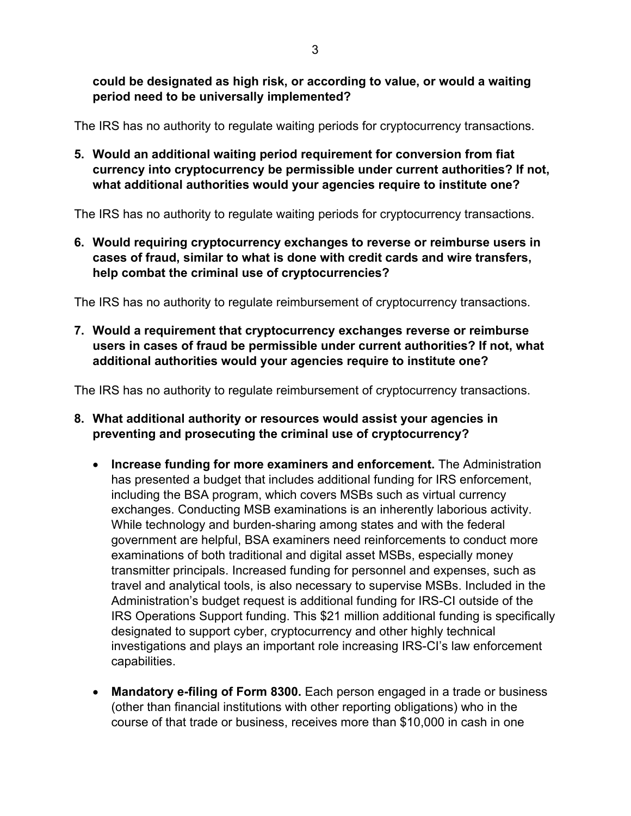**could be designated as high risk, or according to value, or would a waiting period need to be universally implemented?**

The IRS has no authority to regulate waiting periods for cryptocurrency transactions.

**5. Would an additional waiting period requirement for conversion from fiat currency into cryptocurrency be permissible under current authorities? If not, what additional authorities would your agencies require to institute one?**

The IRS has no authority to regulate waiting periods for cryptocurrency transactions.

**6. Would requiring cryptocurrency exchanges to reverse or reimburse users in cases of fraud, similar to what is done with credit cards and wire transfers, help combat the criminal use of cryptocurrencies?**

The IRS has no authority to regulate reimbursement of cryptocurrency transactions.

**7. Would a requirement that cryptocurrency exchanges reverse or reimburse users in cases of fraud be permissible under current authorities? If not, what additional authorities would your agencies require to institute one?**

The IRS has no authority to regulate reimbursement of cryptocurrency transactions.

- **8. What additional authority or resources would assist your agencies in preventing and prosecuting the criminal use of cryptocurrency?**
	- **Increase funding for more examiners and enforcement.** The Administration has presented a budget that includes additional funding for IRS enforcement, including the BSA program, which covers MSBs such as virtual currency exchanges. Conducting MSB examinations is an inherently laborious activity. While technology and burden-sharing among states and with the federal government are helpful, BSA examiners need reinforcements to conduct more examinations of both traditional and digital asset MSBs, especially money transmitter principals. Increased funding for personnel and expenses, such as travel and analytical tools, is also necessary to supervise MSBs. Included in the Administration's budget request is additional funding for IRS-CI outside of the IRS Operations Support funding. This \$21 million additional funding is specifically designated to support cyber, cryptocurrency and other highly technical investigations and plays an important role increasing IRS-CI's law enforcement capabilities.
	- **Mandatory e-filing of Form 8300.** Each person engaged in a trade or business (other than financial institutions with other reporting obligations) who in the course of that trade or business, receives more than \$10,000 in cash in one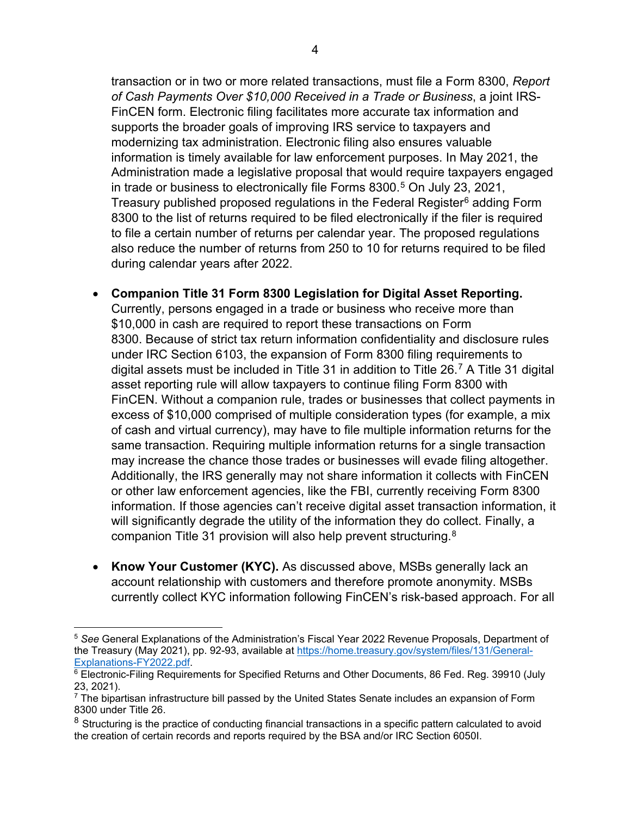transaction or in two or more related transactions, must file a Form 8300, *Report of Cash Payments Over \$10,000 Received in a Trade or Business*, a joint IRS-FinCEN form. Electronic filing facilitates more accurate tax information and supports the broader goals of improving IRS service to taxpayers and modernizing tax administration. Electronic filing also ensures valuable information is timely available for law enforcement purposes. In May 2021, the Administration made a legislative proposal that would require taxpayers engaged in trade or business to electronically file Forms 8300. [5](#page-4-0) On July 23, 2021, Treasury published proposed regulations in the Federal Register<sup>[6](#page-4-1)</sup> adding Form 8300 to the list of returns required to be filed electronically if the filer is required to file a certain number of returns per calendar year. The proposed regulations also reduce the number of returns from 250 to 10 for returns required to be filed during calendar years after 2022.

- **Companion Title 31 Form 8300 Legislation for Digital Asset Reporting.**  Currently, persons engaged in a trade or business who receive more than \$10,000 in cash are required to report these transactions on Form 8300. Because of strict tax return information confidentiality and disclosure rules under IRC Section 6103, the expansion of Form 8300 filing requirements to digital assets must be included in Title 31 in addition to Title 26.<sup>[7](#page-4-2)</sup> A Title 31 digital asset reporting rule will allow taxpayers to continue filing Form 8300 with FinCEN. Without a companion rule, trades or businesses that collect payments in excess of \$10,000 comprised of multiple consideration types (for example, a mix of cash and virtual currency), may have to file multiple information returns for the same transaction. Requiring multiple information returns for a single transaction may increase the chance those trades or businesses will evade filing altogether. Additionally, the IRS generally may not share information it collects with FinCEN or other law enforcement agencies, like the FBI, currently receiving Form 8300 information. If those agencies can't receive digital asset transaction information, it will significantly degrade the utility of the information they do collect. Finally, a companion Title 31 provision will also help prevent structuring.[8](#page-4-3)
- **Know Your Customer (KYC).** As discussed above, MSBs generally lack an account relationship with customers and therefore promote anonymity. MSBs currently collect KYC information following FinCEN's risk-based approach. For all

<span id="page-4-0"></span><sup>5</sup> *See* General Explanations of the Administration's Fiscal Year 2022 Revenue Proposals, Department of the Treasury (May 2021), pp. 92-93, available at [https://home.treasury.gov/system/files/131/General-](https://home.treasury.gov/system/files/131/General-Explanations-FY2022.pdf)[Explanations-FY2022.pdf.](https://home.treasury.gov/system/files/131/General-Explanations-FY2022.pdf)

<span id="page-4-1"></span> $6$  Electronic-Filing Requirements for Specified Returns and Other Documents, 86 Fed. Reg. 39910 (July 23, 2021).

<span id="page-4-2"></span> $7$  The bipartisan infrastructure bill passed by the United States Senate includes an expansion of Form 8300 under Title 26.

<span id="page-4-3"></span> $8$  Structuring is the practice of conducting financial transactions in a specific pattern calculated to avoid the creation of certain records and reports required by the BSA and/or IRC Section 6050I.